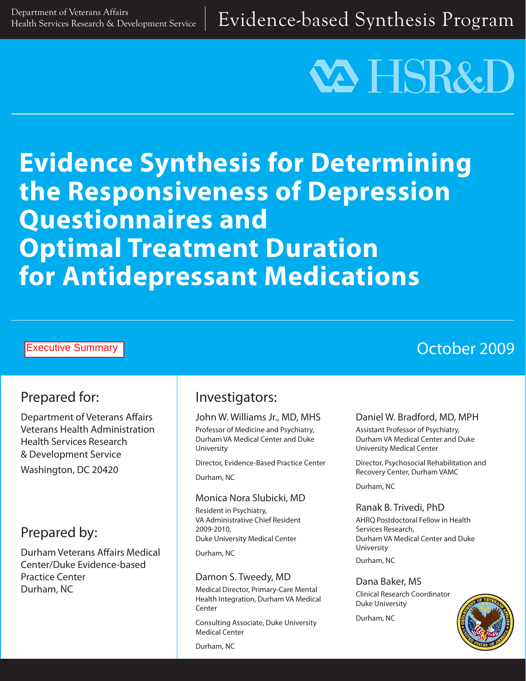# **VA HSR&D**

## **Evidence Synthesis for Determining the Responsiveness of Depression Questionnaires and Optimal Treatment Duration for Antidepressant Medications**

#### Executive Summary

## October 2009

## Prepared for:

Department of Veterans Affairs Veterans Health Administration Health Services Research & Development Service Washington, DC 20420

## Prepared by:

Durham Veterans Affairs Medical Center/Duke Evidence-based Practice Center Durham, NC

## Investigators:

#### John W. Williams Jr., MD, MHS

Professor of Medicine and Psychiatry, Durham VA Medical Center and Duke University

Director, Evidence-Based Practice Center

Durham, NC

#### Monica Nora Slubicki, MD

Resident in Psychiatry, VA Administrative Chief Resident 2009-2010, Duke University Medical Center

Durham, NC

#### Damon S. Tweedy, MD

Medical Director, Primary-Care Mental Health Integration, Durham VA Medical Center

Consulting Associate, Duke University Medical Center

Durham, NC

#### Daniel W. Bradford, MD, MPH

Assistant Professor of Psychiatry, Durham VA Medical Center and Duke University Medical Center

Director, Psychosocial Rehabilitation and Recovery Center, Durham VAMC

Durham, NC

#### Ranak B. Trivedi, PhD

AHRQ Postdoctoral Fellow in Health Services Research, Durham VA Medical Center and Duke University

Durham, NC

#### Dana Baker, MS

Clinical Research Coordinator Duke University

Durham, NC

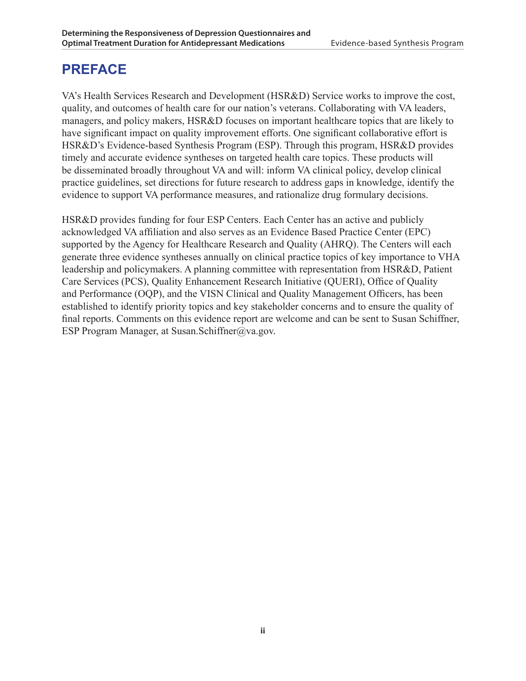## **PREFACE**

VA's Health Services Research and Development (HSR&D) Service works to improve the cost, quality, and outcomes of health care for our nation's veterans. Collaborating with VA leaders, managers, and policy makers, HSR&D focuses on important healthcare topics that are likely to have significant impact on quality improvement efforts. One significant collaborative effort is HSR&D's Evidence-based Synthesis Program (ESP). Through this program, HSR&D provides timely and accurate evidence syntheses on targeted health care topics. These products will be disseminated broadly throughout VA and will: inform VA clinical policy, develop clinical practice guidelines, set directions for future research to address gaps in knowledge, identify the evidence to support VA performance measures, and rationalize drug formulary decisions.

HSR&D provides funding for four ESP Centers. Each Center has an active and publicly acknowledged VA affiliation and also serves as an Evidence Based Practice Center (EPC) supported by the Agency for Healthcare Research and Quality (AHRQ). The Centers will each generate three evidence syntheses annually on clinical practice topics of key importance to VHA leadership and policymakers. A planning committee with representation from HSR&D, Patient Care Services (PCS), Quality Enhancement Research Initiative (QUERI), Office of Quality and Performance (OQP), and the VISN Clinical and Quality Management Officers, has been established to identify priority topics and key stakeholder concerns and to ensure the quality of final reports. Comments on this evidence report are welcome and can be sent to Susan Schiffner, ESP Program Manager, at Susan.Schiffner@va.gov.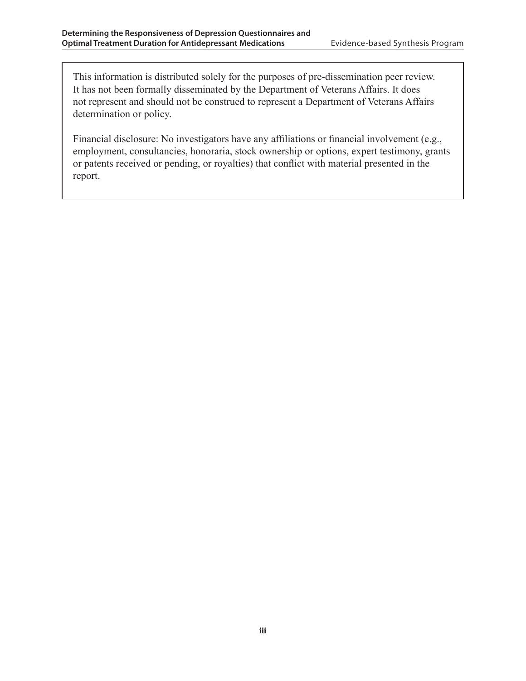This information is distributed solely for the purposes of pre-dissemination peer review. It has not been formally disseminated by the Department of Veterans Affairs. It does not represent and should not be construed to represent a Department of Veterans Affairs determination or policy.

Financial disclosure: No investigators have any affiliations or financial involvement (e.g., employment, consultancies, honoraria, stock ownership or options, expert testimony, grants or patents received or pending, or royalties) that conflict with material presented in the report.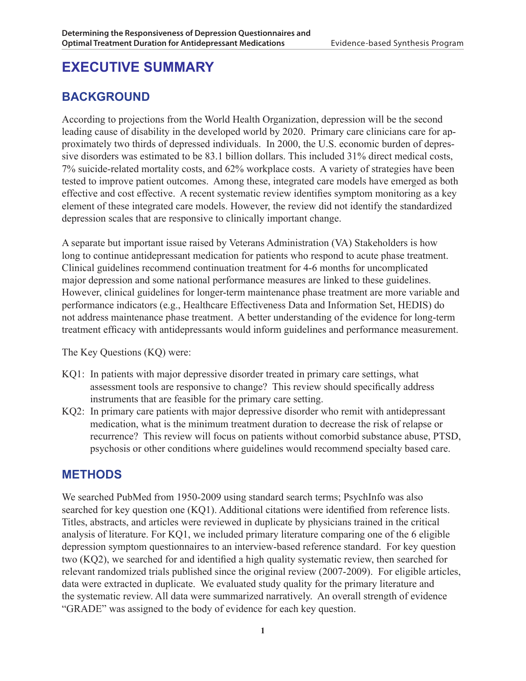## **EXECUTIVE SUMMARY**

### **BACKGROUND**

According to projections from the World Health Organization, depression will be the second leading cause of disability in the developed world by 2020. Primary care clinicians care for approximately two thirds of depressed individuals. In 2000, the U.S. economic burden of depressive disorders was estimated to be 83.1 billion dollars. This included 31% direct medical costs, 7% suicide-related mortality costs, and 62% workplace costs. A variety of strategies have been tested to improve patient outcomes. Among these, integrated care models have emerged as both effective and cost effective. A recent systematic review identifies symptom monitoring as a key element of these integrated care models. However, the review did not identify the standardized depression scales that are responsive to clinically important change.

A separate but important issue raised by Veterans Administration (VA) Stakeholders is how long to continue antidepressant medication for patients who respond to acute phase treatment. Clinical guidelines recommend continuation treatment for 4-6 months for uncomplicated major depression and some national performance measures are linked to these guidelines. However, clinical guidelines for longer-term maintenance phase treatment are more variable and performance indicators (e.g., Healthcare Effectiveness Data and Information Set, HEDIS) do not address maintenance phase treatment. A better understanding of the evidence for long-term treatment efficacy with antidepressants would inform guidelines and performance measurement.

The Key Questions (KQ) were:

- KQ1: In patients with major depressive disorder treated in primary care settings, what assessment tools are responsive to change? This review should specifically address instruments that are feasible for the primary care setting.
- KQ2: In primary care patients with major depressive disorder who remit with antidepressant medication, what is the minimum treatment duration to decrease the risk of relapse or recurrence? This review will focus on patients without comorbid substance abuse, PTSD, psychosis or other conditions where guidelines would recommend specialty based care.

#### **METHODS**

We searched PubMed from 1950-2009 using standard search terms; PsychInfo was also searched for key question one (KQ1). Additional citations were identified from reference lists. Titles, abstracts, and articles were reviewed in duplicate by physicians trained in the critical analysis of literature. For KQ1, we included primary literature comparing one of the 6 eligible depression symptom questionnaires to an interview-based reference standard. For key question two (KQ2), we searched for and identified a high quality systematic review, then searched for relevant randomized trials published since the original review (2007-2009). For eligible articles, data were extracted in duplicate. We evaluated study quality for the primary literature and the systematic review. All data were summarized narratively. An overall strength of evidence "GRADE" was assigned to the body of evidence for each key question.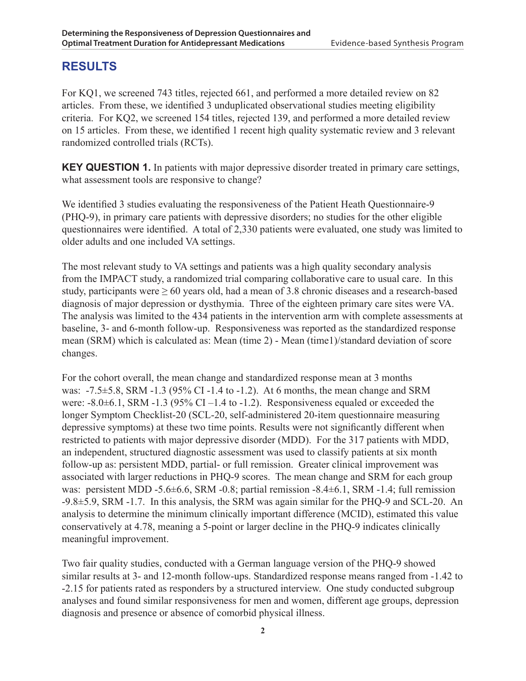#### **RESULTS**

For KQ1, we screened 743 titles, rejected 661, and performed a more detailed review on 82 articles. From these, we identified 3 unduplicated observational studies meeting eligibility criteria. For KQ2, we screened 154 titles, rejected 139, and performed a more detailed review on 15 articles. From these, we identified 1 recent high quality systematic review and 3 relevant randomized controlled trials (RCTs).

**KEY QUESTION 1.** In patients with major depressive disorder treated in primary care settings, what assessment tools are responsive to change?

We identified 3 studies evaluating the responsiveness of the Patient Heath Questionnaire-9 (PHQ-9), in primary care patients with depressive disorders; no studies for the other eligible questionnaires were identified. A total of 2,330 patients were evaluated, one study was limited to older adults and one included VA settings.

The most relevant study to VA settings and patients was a high quality secondary analysis from the IMPACT study, a randomized trial comparing collaborative care to usual care. In this study, participants were  $\geq 60$  years old, had a mean of 3.8 chronic diseases and a research-based diagnosis of major depression or dysthymia. Three of the eighteen primary care sites were VA. The analysis was limited to the 434 patients in the intervention arm with complete assessments at baseline, 3- and 6-month follow-up. Responsiveness was reported as the standardized response mean (SRM) which is calculated as: Mean (time 2) - Mean (time1)/standard deviation of score changes.

For the cohort overall, the mean change and standardized response mean at 3 months was: -7.5±5.8, SRM -1.3 (95% CI -1.4 to -1.2). At 6 months, the mean change and SRM were:  $-8.0 \pm 6.1$ , SRM  $-1.3$  (95% CI $-1.4$  to  $-1.2$ ). Responsiveness equaled or exceeded the longer Symptom Checklist-20 (SCL-20, self-administered 20-item questionnaire measuring depressive symptoms) at these two time points. Results were not significantly different when restricted to patients with major depressive disorder (MDD). For the 317 patients with MDD, an independent, structured diagnostic assessment was used to classify patients at six month follow-up as: persistent MDD, partial- or full remission. Greater clinical improvement was associated with larger reductions in PHQ-9 scores. The mean change and SRM for each group was: persistent MDD -5.6 $\pm$ 6.6, SRM -0.8; partial remission -8.4 $\pm$ 6.1, SRM -1.4; full remission -9.8±5.9, SRM -1.7. In this analysis, the SRM was again similar for the PHQ-9 and SCL-20. An analysis to determine the minimum clinically important difference (MCID), estimated this value conservatively at 4.78, meaning a 5-point or larger decline in the PHQ-9 indicates clinically meaningful improvement.

Two fair quality studies, conducted with a German language version of the PHQ-9 showed similar results at 3- and 12-month follow-ups. Standardized response means ranged from -1.42 to -2.15 for patients rated as responders by a structured interview. One study conducted subgroup analyses and found similar responsiveness for men and women, different age groups, depression diagnosis and presence or absence of comorbid physical illness.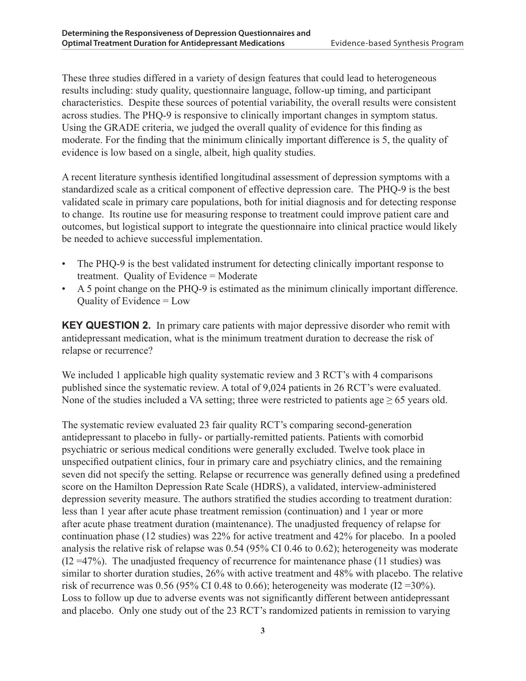These three studies differed in a variety of design features that could lead to heterogeneous results including: study quality, questionnaire language, follow-up timing, and participant characteristics. Despite these sources of potential variability, the overall results were consistent across studies. The PHQ-9 is responsive to clinically important changes in symptom status. Using the GRADE criteria, we judged the overall quality of evidence for this finding as moderate. For the finding that the minimum clinically important difference is 5, the quality of evidence is low based on a single, albeit, high quality studies.

A recent literature synthesis identified longitudinal assessment of depression symptoms with a standardized scale as a critical component of effective depression care. The PHQ-9 is the best validated scale in primary care populations, both for initial diagnosis and for detecting response to change. Its routine use for measuring response to treatment could improve patient care and outcomes, but logistical support to integrate the questionnaire into clinical practice would likely be needed to achieve successful implementation.

- The PHQ-9 is the best validated instrument for detecting clinically important response to treatment. Quality of Evidence = Moderate
- A 5 point change on the PHQ-9 is estimated as the minimum clinically important difference. Quality of Evidence = Low

**KEY QUESTION 2.** In primary care patients with major depressive disorder who remit with antidepressant medication, what is the minimum treatment duration to decrease the risk of relapse or recurrence?

We included 1 applicable high quality systematic review and 3 RCT's with 4 comparisons published since the systematic review. A total of 9,024 patients in 26 RCT's were evaluated. None of the studies included a VA setting; three were restricted to patients age  $\geq 65$  years old.

The systematic review evaluated 23 fair quality RCT's comparing second-generation antidepressant to placebo in fully- or partially-remitted patients. Patients with comorbid psychiatric or serious medical conditions were generally excluded. Twelve took place in unspecified outpatient clinics, four in primary care and psychiatry clinics, and the remaining seven did not specify the setting. Relapse or recurrence was generally defined using a predefined score on the Hamilton Depression Rate Scale (HDRS), a validated, interview-administered depression severity measure. The authors stratified the studies according to treatment duration: less than 1 year after acute phase treatment remission (continuation) and 1 year or more after acute phase treatment duration (maintenance). The unadjusted frequency of relapse for continuation phase (12 studies) was 22% for active treatment and 42% for placebo. In a pooled analysis the relative risk of relapse was 0.54 (95% CI 0.46 to 0.62); heterogeneity was moderate  $(12 = 47%)$ . The unadjusted frequency of recurrence for maintenance phase (11 studies) was similar to shorter duration studies, 26% with active treatment and 48% with placebo. The relative risk of recurrence was  $0.56$  (95% CI 0.48 to 0.66); heterogeneity was moderate (I2 = 30%). Loss to follow up due to adverse events was not significantly different between antidepressant and placebo. Only one study out of the 23 RCT's randomized patients in remission to varying